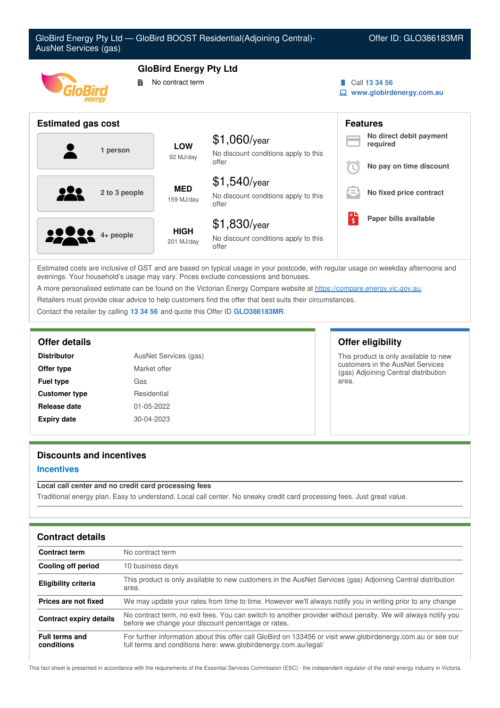| GloBird Energy Pty Ltd - GloBird BOOST Residential(Adjoining Central)-<br>Offer ID: GLO386183MR<br>AusNet Services (gas) |                                                   |                                                                 |   |                                                                |
|--------------------------------------------------------------------------------------------------------------------------|---------------------------------------------------|-----------------------------------------------------------------|---|----------------------------------------------------------------|
| 詩                                                                                                                        | <b>GloBird Energy Pty Ltd</b><br>No contract term |                                                                 |   | Call 13 34 56<br>www.globirdenergy.com.au                      |
| <b>Estimated gas cost</b>                                                                                                |                                                   |                                                                 |   | <b>Features</b>                                                |
| 1 person                                                                                                                 | <b>LOW</b><br>92 MJ/day                           | $$1,060$ /year<br>No discount conditions apply to this<br>offer |   | No direct debit payment<br>required<br>No pay on time discount |
| 2 to 3 people                                                                                                            | <b>MED</b><br>159 MJ/day                          | $$1,540$ /year<br>No discount conditions apply to this<br>offer |   | No fixed price contract                                        |
| 4+ people                                                                                                                | <b>HIGH</b><br>201 MJ/day                         | $$1,830$ /year<br>No discount conditions apply to this<br>offer | 尉 | Paper bills available                                          |

Estimated costs are inclusive of GST and are based on typical usage in your postcode, with regular usage on weekday afternoons and evenings. Your household's usage may vary. Prices exclude concessions and bonuses.

A more personalised estimate can be found on the Victorian Energy Compare website at <https://compare.energy.vic.gov.au>.

Retailers must provide clear advice to help customers find the offer that best suits their circumstances.

Contact the retailer by calling **13 34 56** and quote this Offer ID **GLO386183MR**.

| <b>Distributor</b>   | AusNet Services (gas) |  |  |
|----------------------|-----------------------|--|--|
| Offer type           | Market offer          |  |  |
| <b>Fuel type</b>     | Gas                   |  |  |
| <b>Customer type</b> | Residential           |  |  |
| Release date         | 01-05-2022            |  |  |
| <b>Expiry date</b>   | $30 - 04 - 2023$      |  |  |

## **Offer details Offer eligibility**

This product is only available to new customers in the AusNet Services (gas) Adjoining Central distribution area.

# **Discounts and incentives**

#### **Incentives**

### **Local call center and no credit card processing fees**

Traditional energy plan. Easy to understand. Local call center. No sneaky credit card processing fees. Just great value.

| <b>Contract details</b>             |                                                                                                                                                                                 |
|-------------------------------------|---------------------------------------------------------------------------------------------------------------------------------------------------------------------------------|
| <b>Contract term</b>                | No contract term                                                                                                                                                                |
| <b>Cooling off period</b>           | 10 business days                                                                                                                                                                |
| <b>Eligibility criteria</b>         | This product is only available to new customers in the AusNet Services (gas) Adjoining Central distribution<br>area.                                                            |
| Prices are not fixed                | We may update your rates from time to time. However we'll always notify you in writing prior to any change                                                                      |
| <b>Contract expiry details</b>      | No contract term, no exit fees. You can switch to another provider without penalty. We will always notify you<br>before we change your discount percentage or rates.            |
| <b>Full terms and</b><br>conditions | For further information about this offer call GloBird on 133456 or visit www.globirdenergy.com.au or see our<br>full terms and conditions here: www.globirdenergy.com.au/legal/ |